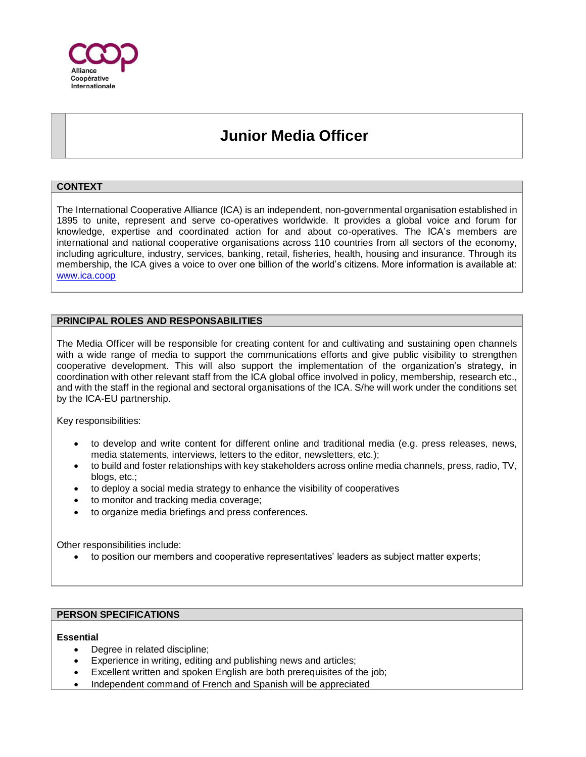

# **Junior Media Officer**

### **CONTEXT**

The International Cooperative Alliance (ICA) is an independent, non-governmental organisation established in 1895 to unite, represent and serve co-operatives worldwide. It provides a global voice and forum for knowledge, expertise and coordinated action for and about co-operatives. The ICA's members are international and national cooperative organisations across 110 countries from all sectors of the economy, including agriculture, industry, services, banking, retail, fisheries, health, housing and insurance. Through its membership, the ICA gives a voice to over one billion of the world's citizens. More information is available at: [www.ica.coop](http://www.ica.coop/)

#### **PRINCIPAL ROLES AND RESPONSABILITIES**

The Media Officer will be responsible for creating content for and cultivating and sustaining open channels with a wide range of media to support the communications efforts and give public visibility to strengthen cooperative development. This will also support the implementation of the organization's strategy, in coordination with other relevant staff from the ICA global office involved in policy, membership, research etc., and with the staff in the regional and sectoral organisations of the ICA. S/he will work under the conditions set by the ICA-EU partnership.

Key responsibilities:

- to develop and write content for different online and traditional media (e.g. press releases, news, media statements, interviews, letters to the editor, newsletters, etc.);
- to build and foster relationships with key stakeholders across online media channels, press, radio, TV, blogs, etc.;
- to deploy a social media strategy to enhance the visibility of cooperatives
- to monitor and tracking media coverage;
- to organize media briefings and press conferences.

Other responsibilities include:

• to position our members and cooperative representatives' leaders as subject matter experts;

#### **PERSON SPECIFICATIONS**

#### **Essential**

- Degree in related discipline;
- Experience in writing, editing and publishing news and articles;
- Excellent written and spoken English are both prerequisites of the job;
- Independent command of French and Spanish will be appreciated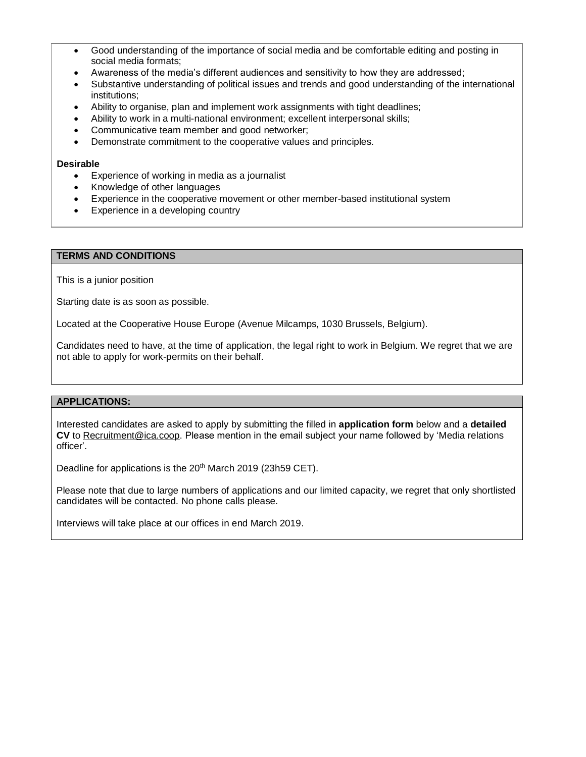- Good understanding of the importance of social media and be comfortable editing and posting in social media formats;
- Awareness of the media's different audiences and sensitivity to how they are addressed;
- Substantive understanding of political issues and trends and good understanding of the international institutions;
- Ability to organise, plan and implement work assignments with tight deadlines;
- Ability to work in a multi-national environment; excellent interpersonal skills;
- Communicative team member and good networker;
- Demonstrate commitment to the cooperative values and principles.

#### **Desirable**

- Experience of working in media as a journalist
- Knowledge of other languages
- Experience in the cooperative movement or other member-based institutional system
- Experience in a developing country

#### **TERMS AND CONDITIONS**

This is a junior position

Starting date is as soon as possible.

Located at the Cooperative House Europe (Avenue Milcamps, 1030 Brussels, Belgium).

Candidates need to have, at the time of application, the legal right to work in Belgium. We regret that we are not able to apply for work-permits on their behalf.

#### **APPLICATIONS:**

Interested candidates are asked to apply by submitting the filled in **application form** below and a **detailed CV** to Recruitment@ica.coop. Please mention in the email subject your name followed by 'Media relations officer'.

Deadline for applications is the 20<sup>th</sup> March 2019 (23h59 CET).

Please note that due to large numbers of applications and our limited capacity, we regret that only shortlisted candidates will be contacted. No phone calls please.

Interviews will take place at our offices in end March 2019.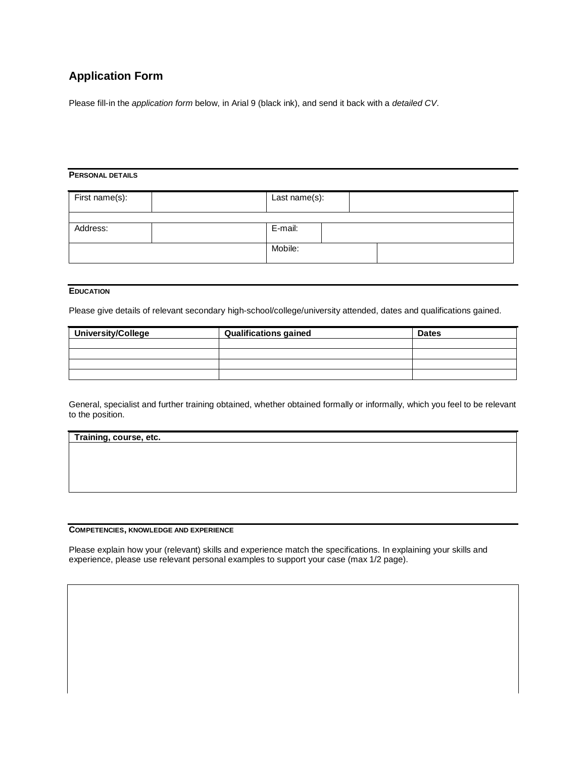## **Application Form**

Please fill-in the *application form* below, in Arial 9 (black ink), and send it back with a *detailed CV*.

#### **PERSONAL DETAILS**

| First name(s): | Last name(s): |  |  |  |
|----------------|---------------|--|--|--|
|                |               |  |  |  |
| Address:       | E-mail:       |  |  |  |
|                |               |  |  |  |
|                | Mobile:       |  |  |  |
|                |               |  |  |  |

#### **EDUCATION**

Please give details of relevant secondary high-school/college/university attended, dates and qualifications gained.

| <b>University/College</b> | <b>Qualifications gained</b> | <b>Dates</b> |
|---------------------------|------------------------------|--------------|
|                           |                              |              |
|                           |                              |              |
|                           |                              |              |
|                           |                              |              |

General, specialist and further training obtained, whether obtained formally or informally, which you feel to be relevant to the position.

| Training, course, etc. |  |  |
|------------------------|--|--|
|                        |  |  |
|                        |  |  |
|                        |  |  |
|                        |  |  |

#### **COMPETENCIES, KNOWLEDGE AND EXPERIENCE**

Please explain how your (relevant) skills and experience match the specifications. In explaining your skills and experience, please use relevant personal examples to support your case (max 1/2 page).